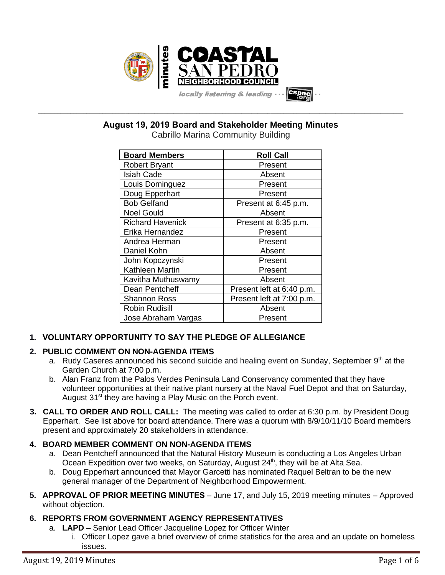

**\_\_\_\_\_\_\_\_\_\_\_\_\_\_\_\_\_\_\_\_\_\_\_\_\_\_\_\_\_\_\_\_\_\_\_\_\_\_\_\_\_\_\_\_\_\_\_\_\_\_\_\_\_\_\_\_\_\_\_\_\_\_\_\_\_\_\_\_\_\_\_\_\_\_\_\_\_\_\_\_\_\_\_\_\_\_\_\_\_\_\_\_\_\_\_\_\_\_\_\_\_\_\_\_\_\_\_\_\_\_\_\_\_ August 19, 2019 Board and Stakeholder Meeting Minutes**

Cabrillo Marina Community Building

| <b>Board Members</b>    | <b>Roll Call</b>          |
|-------------------------|---------------------------|
| <b>Robert Bryant</b>    | Present                   |
| <b>Isiah Cade</b>       | Absent                    |
| Louis Dominguez         | Present                   |
| Doug Epperhart          | Present                   |
| <b>Bob Gelfand</b>      | Present at 6:45 p.m.      |
| <b>Noel Gould</b>       | Absent                    |
| <b>Richard Havenick</b> | Present at 6:35 p.m.      |
| Erika Hernandez         | Present                   |
| Andrea Herman           | Present                   |
| Daniel Kohn             | Absent                    |
| John Kopczynski         | Present                   |
| <b>Kathleen Martin</b>  | Present                   |
| Kavitha Muthuswamy      | Absent                    |
| Dean Pentcheff          | Present left at 6:40 p.m. |
| <b>Shannon Ross</b>     | Present left at 7:00 p.m. |
| <b>Robin Rudisill</b>   | Absent                    |
| Jose Abraham Vargas     | Present                   |

# **1. VOLUNTARY OPPORTUNITY TO SAY THE PLEDGE OF ALLEGIANCE**

# **2. PUBLIC COMMENT ON NON-AGENDA ITEMS**

- a. Rudy Caseres announced his second suicide and healing event on Sunday, September 9<sup>th</sup> at the Garden Church at 7:00 p.m.
- b. Alan Franz from the Palos Verdes Peninsula Land Conservancy commented that they have volunteer opportunities at their native plant nursery at the Naval Fuel Depot and that on Saturday, August 31<sup>st</sup> they are having a Play Music on the Porch event.
- **3. CALL TO ORDER AND ROLL CALL:** The meeting was called to order at 6:30 p.m. by President Doug Epperhart. See list above for board attendance. There was a quorum with 8/9/10/11/10 Board members present and approximately 20 stakeholders in attendance.

# **4. BOARD MEMBER COMMENT ON NON-AGENDA ITEMS**

- a. Dean Pentcheff announced that the Natural History Museum is conducting a Los Angeles Urban Ocean Expedition over two weeks, on Saturday, August 24<sup>th</sup>, they will be at Alta Sea.
- b. Doug Epperhart announced that Mayor Garcetti has nominated Raquel Beltran to be the new general manager of the Department of Neighborhood Empowerment.
- **5. APPROVAL OF PRIOR MEETING MINUTES** June 17, and July 15, 2019 meeting minutes Approved without objection.

# **6. REPORTS FROM GOVERNMENT AGENCY REPRESENTATIVES**

- a. **LAPD**  Senior Lead Officer Jacqueline Lopez for Officer Winter
	- i. Officer Lopez gave a brief overview of crime statistics for the area and an update on homeless issues.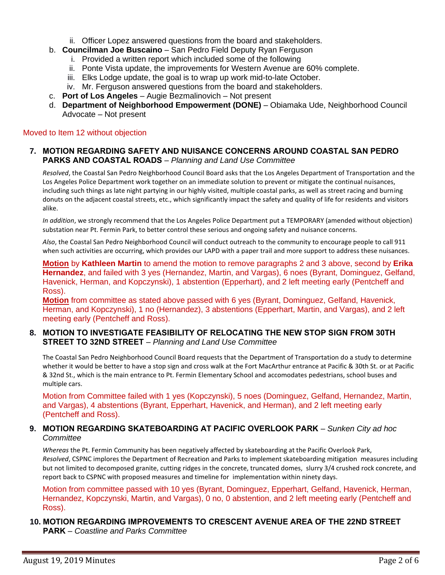- ii. Officer Lopez answered questions from the board and stakeholders.
- b. **Councilman Joe Buscaino** San Pedro Field Deputy Ryan Ferguson
	- i. Provided a written report which included some of the following
	- ii. Ponte Vista update, the improvements for Western Avenue are 60% complete.
	- iii. Elks Lodge update, the goal is to wrap up work mid-to-late October.
	- iv. Mr. Ferguson answered questions from the board and stakeholders.
- c. **Port of Los Angeles** Augie Bezmalinovich Not present
- d. **Department of Neighborhood Empowerment (DONE)** Obiamaka Ude, Neighborhood Council Advocate – Not present

#### Moved to Item 12 without objection

#### **7. MOTION REGARDING SAFETY AND NUISANCE CONCERNS AROUND COASTAL SAN PEDRO PARKS AND COASTAL ROADS** – *Planning and Land Use Committee*

*Resolved*, the Coastal San Pedro Neighborhood Council Board asks that the Los Angeles Department of Transportation and the Los Angeles Police Department work together on an immediate solution to prevent or mitigate the continual nuisances, including such things as late night partying in our highly visited, multiple coastal parks, as well as street racing and burning donuts on the adjacent coastal streets, etc., which significantly impact the safety and quality of life for residents and visitors alike.

*In addition*, we strongly recommend that the Los Angeles Police Department put a TEMPORARY (amended without objection) substation near Pt. Fermin Park, to better control these serious and ongoing safety and nuisance concerns.

*Also*, the Coastal San Pedro Neighborhood Council will conduct outreach to the community to encourage people to call 911 when such activities are occurring, which provides our LAPD with a paper trail and more support to address these nuisances.

**Motion** by **Kathleen Martin** to amend the motion to remove paragraphs 2 and 3 above, second by **Erika Hernandez**, and failed with 3 yes (Hernandez, Martin, and Vargas), 6 noes (Byrant, Dominguez, Gelfand, Havenick, Herman, and Kopczynski), 1 abstention (Epperhart), and 2 left meeting early (Pentcheff and Ross).

**Motion** from committee as stated above passed with 6 yes (Byrant, Dominguez, Gelfand, Havenick, Herman, and Kopczynski), 1 no (Hernandez), 3 abstentions (Epperhart, Martin, and Vargas), and 2 left meeting early (Pentcheff and Ross).

#### **8. MOTION TO INVESTIGATE FEASIBILITY OF RELOCATING THE NEW STOP SIGN FROM 30TH STREET TO 32ND STREET** – *Planning and Land Use Committee*

The Coastal San Pedro Neighborhood Council Board requests that the Department of Transportation do a study to determine whether it would be better to have a stop sign and cross walk at the Fort MacArthur entrance at Pacific & 30th St. or at Pacific & 32nd St., which is the main entrance to Pt. Fermin Elementary School and accomodates pedestrians, school buses and multiple cars.

Motion from Committee failed with 1 yes (Kopczynski), 5 noes (Dominguez, Gelfand, Hernandez, Martin, and Vargas), 4 abstentions (Byrant, Epperhart, Havenick, and Herman), and 2 left meeting early (Pentcheff and Ross).

#### **9. MOTION REGARDING SKATEBOARDING AT PACIFIC OVERLOOK PARK** – *Sunken City ad hoc Committee*

*Whereas* the Pt. Fermin Community has been negatively affected by skateboarding at the Pacific Overlook Park, *Resolved*, CSPNC implores the Department of Recreation and Parks to implement skateboarding mitigation measures including but not limited to decomposed granite, cutting ridges in the concrete, truncated domes, slurry 3/4 crushed rock concrete, and report back to CSPNC with proposed measures and timeline for implementation within ninety days.

Motion from committee passed with 10 yes (Byrant, Dominguez, Epperhart, Gelfand, Havenick, Herman, Hernandez, Kopczynski, Martin, and Vargas), 0 no, 0 abstention, and 2 left meeting early (Pentcheff and Ross).

## **10. MOTION REGARDING IMPROVEMENTS TO CRESCENT AVENUE AREA OF THE 22ND STREET PARK** – *Coastline and Parks Committee*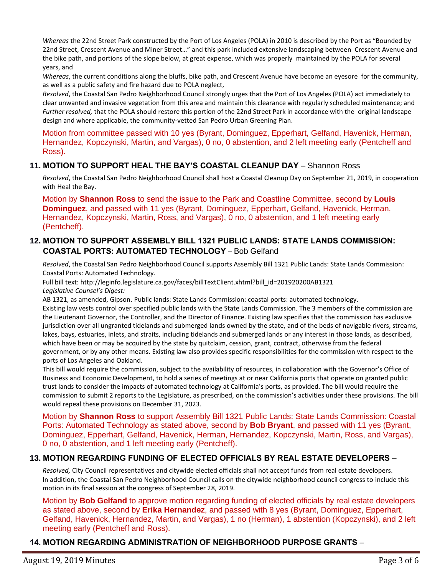*Whereas* the 22nd Street Park constructed by the Port of Los Angeles (POLA) in 2010 is described by the Port as "Bounded by 22nd Street, Crescent Avenue and Miner Street…" and this park included extensive landscaping between Crescent Avenue and the bike path, and portions of the slope below, at great expense, which was properly maintained by the POLA for several years, and

*Whereas*, the current conditions along the bluffs, bike path, and Crescent Avenue have become an eyesore for the community, as well as a public safety and fire hazard due to POLA neglect,

*Resolved*, the Coastal San Pedro Neighborhood Council strongly urges that the Port of Los Angeles (POLA) act immediately to clear unwanted and invasive vegetation from this area and maintain this clearance with regularly scheduled maintenance; and *Further resolved,* that the POLA should restore this portion of the 22nd Street Park in accordance with the original landscape design and where applicable, the community-vetted San Pedro Urban Greening Plan.

Motion from committee passed with 10 yes (Byrant, Dominguez, Epperhart, Gelfand, Havenick, Herman, Hernandez, Kopczynski, Martin, and Vargas), 0 no, 0 abstention, and 2 left meeting early (Pentcheff and Ross).

## **11. MOTION TO SUPPORT HEAL THE BAY'S COASTAL CLEANUP DAY** – Shannon Ross

*Resolved*, the Coastal San Pedro Neighborhood Council shall host a Coastal Cleanup Day on September 21, 2019, in cooperation with Heal the Bay.

Motion by **Shannon Ross** to send the issue to the Park and Coastline Committee, second by **Louis Dominguez**, and passed with 11 yes (Byrant, Dominguez, Epperhart, Gelfand, Havenick, Herman, Hernandez, Kopczynski, Martin, Ross, and Vargas), 0 no, 0 abstention, and 1 left meeting early (Pentcheff).

#### **12. MOTION TO SUPPORT ASSEMBLY BILL 1321 PUBLIC LANDS: STATE LANDS COMMISSION: COASTAL PORTS: AUTOMATED TECHNOLOGY** – Bob Gelfand

*Resolved*, the Coastal San Pedro Neighborhood Council supports Assembly Bill 1321 Public Lands: State Lands Commission: Coastal Ports: Automated Technology.

Full bill text: [http://leginfo.legislature.ca.gov/faces/billTextClient.xhtml?bill\\_id=201920200AB1321](http://leginfo.legislature.ca.gov/faces/billTextClient.xhtml?bill_id=201920200AB1321) *Legislative Counsel's Digest:*

AB 1321, as amended, Gipson. Public lands: State Lands Commission: coastal ports: automated technology.

Existing law vests control over specified public lands with the State Lands Commission. The 3 members of the commission are the Lieutenant Governor, the Controller, and the Director of Finance. Existing law specifies that the commission has exclusive jurisdiction over all ungranted tidelands and submerged lands owned by the state, and of the beds of navigable rivers, streams, lakes, bays, estuaries, inlets, and straits, including tidelands and submerged lands or any interest in those lands, as described, which have been or may be acquired by the state by quitclaim, cession, grant, contract, otherwise from the federal government, or by any other means. Existing law also provides specific responsibilities for the commission with respect to the ports of Los Angeles and Oakland.

This bill would require the commission, subject to the availability of resources, in collaboration with the Governor's Office of Business and Economic Development, to hold a series of meetings at or near California ports that operate on granted public trust lands to consider the impacts of automated technology at California's ports, as provided. The bill would require the commission to submit 2 reports to the Legislature, as prescribed, on the commission's activities under these provisions. The bill would repeal these provisions on December 31, 2023.

Motion by **Shannon Ross** to support Assembly Bill 1321 Public Lands: State Lands Commission: Coastal Ports: Automated Technology as stated above, second by **Bob Bryant**, and passed with 11 yes (Byrant, Dominguez, Epperhart, Gelfand, Havenick, Herman, Hernandez, Kopczynski, Martin, Ross, and Vargas), 0 no, 0 abstention, and 1 left meeting early (Pentcheff).

## **13. MOTION REGARDING FUNDING OF ELECTED OFFICIALS BY REAL ESTATE DEVELOPERS** –

*Resolved,* City Council representatives and citywide elected officials shall not accept funds from real estate developers. In addition, the Coastal San Pedro Neighborhood Council calls on the citywide neighborhood council congress to include this motion in its final session at the congress of September 28, 2019.

Motion by **Bob Gelfand** to approve motion regarding funding of elected officials by real estate developers as stated above, second by **Erika Hernandez**, and passed with 8 yes (Byrant, Dominguez, Epperhart, Gelfand, Havenick, Hernandez, Martin, and Vargas), 1 no (Herman), 1 abstention (Kopczynski), and 2 left meeting early (Pentcheff and Ross).

**14. MOTION REGARDING ADMINISTRATION OF NEIGHBORHOOD PURPOSE GRANTS** –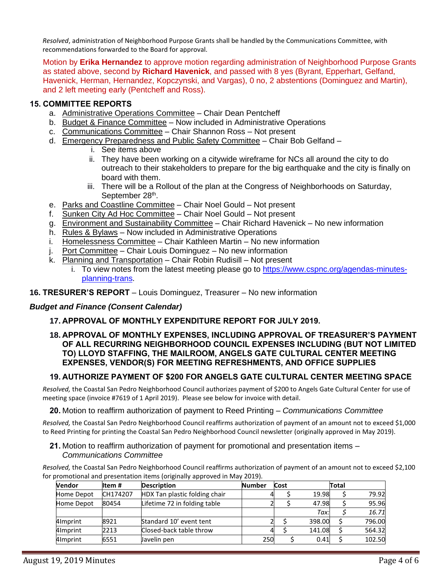*Resolved*, administration of Neighborhood Purpose Grants shall be handled by the Communications Committee, with recommendations forwarded to the Board for approval.

Motion by **Erika Hernandez** to approve motion regarding administration of Neighborhood Purpose Grants as stated above, second by **Richard Havenick**, and passed with 8 yes (Byrant, Epperhart, Gelfand, Havenick, Herman, Hernandez, Kopczynski, and Vargas), 0 no, 2 abstentions (Dominguez and Martin), and 2 left meeting early (Pentcheff and Ross).

## **15. COMMITTEE REPORTS**

- a. Administrative Operations Committee Chair Dean Pentcheff
- b. Budget & Finance Committee Now included in Administrative Operations
- c. Communications Committee Chair Shannon Ross Not present
- d. Emergency Preparedness and Public Safety Committee Chair Bob Gelfand
	- i. See items above
	- ii. They have been working on a citywide wireframe for NCs all around the city to do outreach to their stakeholders to prepare for the big earthquake and the city is finally on board with them.
	- iii. There will be a Rollout of the plan at the Congress of Neighborhoods on Saturday, September 28<sup>th</sup>.
- e. Parks and Coastline Committee Chair Noel Gould Not present
- f. Sunken City Ad Hoc Committee Chair Noel Gould Not present
- g. Environment and Sustainability Committee Chair Richard Havenick No new information
- h. Rules & Bylaws Now included in Administrative Operations
- i. Homelessness Committee Chair Kathleen Martin No new information
- j. Port Committee Chair Louis Dominguez No new information
- k. Planning and Transportation Chair Robin Rudisill Not present
	- i. To view notes from the latest meeting please go to [https://www.cspnc.org/agendas-minutes](https://www.cspnc.org/agendas-minutes-planning-trans)[planning-trans.](https://www.cspnc.org/agendas-minutes-planning-trans)

## **16. TRESURER'S REPORT** – Louis Dominguez, Treasurer – No new information

## *Budget and Finance (Consent Calendar)*

# **17. APPROVAL OF MONTHLY EXPENDITURE REPORT FOR JULY 2019.**

#### **18. APPROVAL OF MONTHLY EXPENSES, INCLUDING APPROVAL OF TREASURER'S PAYMENT OF ALL RECURRING NEIGHBORHOOD COUNCIL EXPENSES INCLUDING (BUT NOT LIMITED TO) LLOYD STAFFING, THE MAILROOM, ANGELS GATE CULTURAL CENTER MEETING EXPENSES, VENDOR(S) FOR MEETING REFRESHMENTS, AND OFFICE SUPPLIES**

# **19. AUTHORIZE PAYMENT OF \$200 FOR ANGELS GATE CULTURAL CENTER MEETING SPACE**

*Resolved,* the Coastal San Pedro Neighborhood Council authorizes payment of \$200 to Angels Gate Cultural Center for use of meeting space (invoice #7619 of 1 April 2019). Please see below for invoice with detail.

## **20.** Motion to reaffirm authorization of payment to Reed Printing – *Communications Committee*

*Resolved,* the Coastal San Pedro Neighborhood Council reaffirms authorization of payment of an amount not to exceed \$1,000 to Reed Printing for printing the Coastal San Pedro Neighborhood Council newsletter (originally approved in May 2019).

**21.** Motion to reaffirm authorization of payment for promotional and presentation items – *Communications Committee*

*Resolved,* the Coastal San Pedro Neighborhood Council reaffirms authorization of payment of an amount not to exceed \$2,100 for promotional and presentation items (originally approved in May 2019).

| <b>Vendor</b> | ltem #   | <b>Description</b>            | <b>Number</b> | Cost |        | Total |        |
|---------------|----------|-------------------------------|---------------|------|--------|-------|--------|
| Home Depot    | CH174207 | HDX Tan plastic folding chair |               |      | 19.98  |       | 79.92  |
| Home Depot    | 80454    | Lifetime 72 in folding table  |               |      | 47.98  |       | 95.96  |
|               |          |                               |               |      | Tax:   |       | 16.71  |
| 4Imprint      | 8921     | Standard 10' event tent       |               |      | 398.00 |       | 796.00 |
| 4Imprint      | 2213     | Closed-back table throw       |               |      | 141.08 |       | 564.32 |
| 4Imprint      | 6551     | Javelin pen                   | 250           |      | 0.41   |       | 102.50 |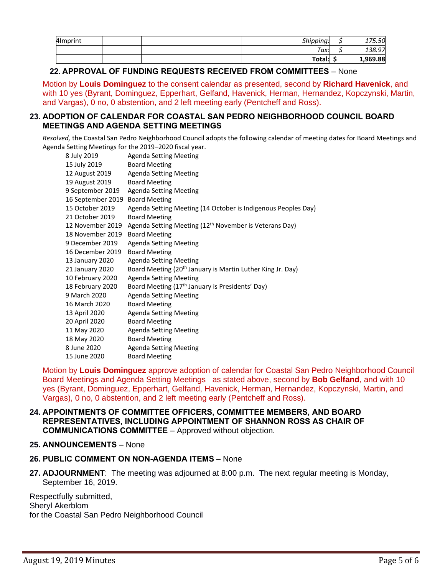| 4Imprint |  | Shipping:<br>Tax: |   | 175.50             |
|----------|--|-------------------|---|--------------------|
|          |  | Total:            | د | 138.97<br>1,969.88 |

## **22. APPROVAL OF FUNDING REQUESTS RECEIVED FROM COMMITTEES** – None

Motion by **Louis Dominguez** to the consent calendar as presented, second by **Richard Havenick**, and with 10 yes (Byrant, Dominguez, Epperhart, Gelfand, Havenick, Herman, Hernandez, Kopczynski, Martin, and Vargas), 0 no, 0 abstention, and 2 left meeting early (Pentcheff and Ross).

#### **23. ADOPTION OF CALENDAR FOR COASTAL SAN PEDRO NEIGHBORHOOD COUNCIL BOARD MEETINGS AND AGENDA SETTING MEETINGS**

*Resolved,* the Coastal San Pedro Neighborhood Council adopts the following calendar of meeting dates for Board Meetings and Agenda Setting Meetings for the 2019–2020 fiscal year.

| 8 July 2019       | <b>Agenda Setting Meeting</b>                                          |
|-------------------|------------------------------------------------------------------------|
| 15 July 2019      | <b>Board Meeting</b>                                                   |
| 12 August 2019    | <b>Agenda Setting Meeting</b>                                          |
| 19 August 2019    | <b>Board Meeting</b>                                                   |
| 9 September 2019  | <b>Agenda Setting Meeting</b>                                          |
| 16 September 2019 | <b>Board Meeting</b>                                                   |
| 15 October 2019   | Agenda Setting Meeting (14 October is Indigenous Peoples Day)          |
| 21 October 2019   | <b>Board Meeting</b>                                                   |
| 12 November 2019  | Agenda Setting Meeting (12 <sup>th</sup> November is Veterans Day)     |
| 18 November 2019  | <b>Board Meeting</b>                                                   |
| 9 December 2019   | <b>Agenda Setting Meeting</b>                                          |
| 16 December 2019  | <b>Board Meeting</b>                                                   |
| 13 January 2020   | <b>Agenda Setting Meeting</b>                                          |
| 21 January 2020   | Board Meeting (20 <sup>th</sup> January is Martin Luther King Jr. Day) |
| 10 February 2020  | <b>Agenda Setting Meeting</b>                                          |
| 18 February 2020  | Board Meeting (17 <sup>th</sup> January is Presidents' Day)            |
| 9 March 2020      | <b>Agenda Setting Meeting</b>                                          |
| 16 March 2020     | <b>Board Meeting</b>                                                   |
| 13 April 2020     | <b>Agenda Setting Meeting</b>                                          |
| 20 April 2020     | <b>Board Meeting</b>                                                   |
| 11 May 2020       | <b>Agenda Setting Meeting</b>                                          |
| 18 May 2020       | <b>Board Meeting</b>                                                   |
| 8 June 2020       | <b>Agenda Setting Meeting</b>                                          |
| 15 June 2020      | <b>Board Meeting</b>                                                   |

Motion by **Louis Dominguez** approve adoption of calendar for Coastal San Pedro Neighborhood Council Board Meetings and Agenda Setting Meetings as stated above, second by **Bob Gelfand**, and with 10 yes (Byrant, Dominguez, Epperhart, Gelfand, Havenick, Herman, Hernandez, Kopczynski, Martin, and Vargas), 0 no, 0 abstention, and 2 left meeting early (Pentcheff and Ross).

#### **24. APPOINTMENTS OF COMMITTEE OFFICERS, COMMITTEE MEMBERS, AND BOARD REPRESENTATIVES, INCLUDING APPOINTMENT OF SHANNON ROSS AS CHAIR OF COMMUNICATIONS COMMITTEE** – Approved without objection.

#### **25. ANNOUNCEMENTS** – None

## **26. PUBLIC COMMENT ON NON-AGENDA ITEMS** – None

**27. ADJOURNMENT**:The meeting was adjourned at 8:00 p.m. The next regular meeting is Monday, September 16, 2019.

Respectfully submitted, Sheryl Akerblom for the Coastal San Pedro Neighborhood Council